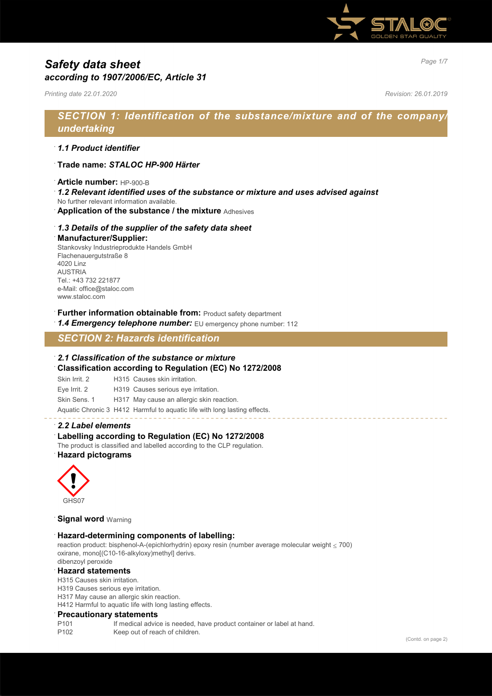

# *Page 1/7 Safety data sheet according to 1907/2006/EC, Article 31*

*Printing date 22.01.2020 Revision: 26.01.2019*

# *SECTION 1: Identification of the substance/mixture and of the company/ undertaking*

### · *1.1 Product identifier*

- · **Trade name:** *STALOC HP-900 Härter*
- · **Article number:** HP-900-B
- · *1.2 Relevant identified uses of the substance or mixture and uses advised against*
- No further relevant information available.
- · **Application of the substance / the mixture** Adhesives

#### · *1.3 Details of the supplier of the safety data sheet*

#### · **Manufacturer/Supplier:**

Stankovsky Industrieprodukte Handels GmbH Flachenauergutstraße 8 4020 Linz AUSTRIA Tel.: +43 732 221877 e-Mail: office@staloc.com www.staloc.com

- **Further information obtainable from:** Product safety department
- 1.4 **Emergency telephone number:** EU emergency phone number: 112

# *SECTION 2: Hazards identification*

#### · *2.1 Classification of the substance or mixture*

- · **Classification according to Regulation (EC) No 1272/2008**
- Skin Irrit. 2 H315 Causes skin irritation.
- Eye Irrit. 2 H319 Causes serious eye irritation.
- Skin Sens. 1 H317 May cause an allergic skin reaction.

Aquatic Chronic 3 H412 Harmful to aquatic life with long lasting effects.

#### · *2.2 Label elements*

#### Labelling according to Regulation (EC) No 1272/2008

The product is classified and labelled according to the CLP regulation. · **Hazard pictograms**



#### **Signal word Warning**

#### · **Hazard-determining components of labelling:**

reaction product: bisphenol-A-(epichlorhydrin) epoxy resin (number average molecular weight ≤ 700) oxirane, mono[(C10-16-alkyloxy)methyl] derivs. dibenzoyl peroxide

#### · **Hazard statements**

H315 Causes skin irritation.

H319 Causes serious eye irritation.

H317 May cause an allergic skin reaction.

H412 Harmful to aquatic life with long lasting effects.

#### · **Precautionary statements**

P101 If medical advice is needed, have product container or label at hand.

P102 Keep out of reach of children.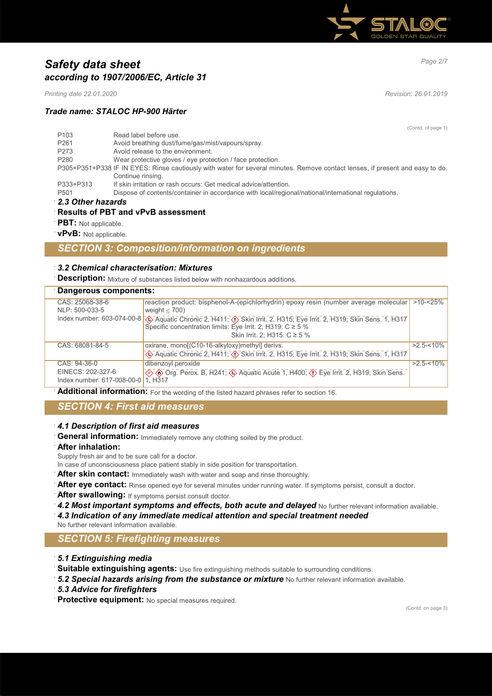

# *Page 2/7 Safety data sheet according to 1907/2006/EC, Article 31*

*Printing date 22.01.2020 Revision: 26.01.2019*

### *Trade name: STALOC HP-900 Härter*

(Contd. of page 1) P103 Read label before use. P261 Avoid breathing dust/fume/gas/mist/vapours/spray.<br>P273 Avoid release to the environment. Avoid release to the environment. P280 Wear protective gloves / eye protection / face protection. P305+P351+P338 IF IN EYES: Rinse cautiously with water for several minutes. Remove contact lenses, if present and easy to do. Continue rinsing. P333+P313 If skin irritation or rash occurs: Get medical advice/attention. P501 Dispose of contents/container in accordance with local/regional/national/international regulations.

### · *2.3 Other hazards*

# · **Results of PBT and vPvB assessment**

- **PBT:** Not applicable.
- · **vPvB:** Not applicable.

# *SECTION 3: Composition/information on ingredients*

#### · *3.2 Chemical characterisation: Mixtures*

**Description:** Mixture of substances listed below with nonhazardous additions.

| Dangerous components:      |                                                                                                                                                                                                           |               |
|----------------------------|-----------------------------------------------------------------------------------------------------------------------------------------------------------------------------------------------------------|---------------|
| CAS: 25068-38-6            | reaction product: bisphenol-A-(epichlorhydrin) epoxy resin (number average molecular   >10-<25%                                                                                                           |               |
| NLP: 500-033-5             | weight $<$ 700)                                                                                                                                                                                           |               |
|                            | Index number: 603-074-00-8 $\circled{3}$ Aquatic Chronic 2, H411; $\circled{3}$ Skin Irrit. 2, H315; Eye Irrit. 2, H319; Skin Sens. 1, H317<br>Specific concentration limits: Eye Irrit. 2; H319: C ≥ 5 % |               |
|                            | Skin Irrit. 2; H315: C ≥ 5 %                                                                                                                                                                              |               |
| CAS: 68081-84-5            | oxirane, mono[(C10-16-alkyloxy)methyl] derivs.                                                                                                                                                            | $>2.5 - 10\%$ |
|                            | Aquatic Chronic 2, H411, <>> Skin Irrit. 2, H315; Eye Irrit. 2, H319; Skin Sens. 1, H317                                                                                                                  |               |
| CAS: 94-36-0               | dibenzoyl peroxide                                                                                                                                                                                        | $>2.5 - 10\%$ |
| EINECS: 202-327-6          | ◇ Org. Perox. B, H241, → Aquatic Acute 1, H400, → Eye Irrit. 2, H319, Skin Sens.                                                                                                                          |               |
| Index number: 617-008-00-0 | 1. H <sub>3</sub> 17                                                                                                                                                                                      |               |

**Additional information:** For the wording of the listed hazard phrases refer to section 16.

### *SECTION 4: First aid measures*

#### · *4.1 Description of first aid measures*

General information: Immediately remove any clothing soiled by the product.

#### · **After inhalation:**

Supply fresh air and to be sure call for a doctor.

- In case of unconsciousness place patient stably in side position for transportation.
- After skin contact: Immediately wash with water and soap and rinse thoroughly.
- · **After eye contact:** Rinse opened eye for several minutes under running water. If symptoms persist, consult a doctor.
- · **After swallowing:** If symptoms persist consult doctor.
- · *4.2 Most important symptoms and effects, both acute and delayed* No further relevant information available.
- · *4.3 Indication of any immediate medical attention and special treatment needed*
- No further relevant information available.

### *SECTION 5: Firefighting measures*

- · *5.1 Extinguishing media*
- · **Suitable extinguishing agents:** Use fire extinguishing methods suitable to surrounding conditions.
- · *5.2 Special hazards arising from the substance or mixture* No further relevant information available.
- · *5.3 Advice for firefighters*
- · **Protective equipment:** No special measures required.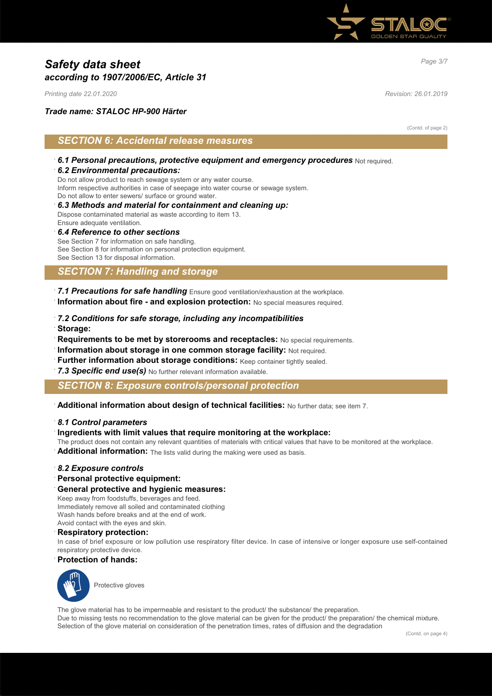

# *Page 3/7 Safety data sheet according to 1907/2006/EC, Article 31*

*Printing date 22.01.2020 Revision: 26.01.2019*

### *Trade name: STALOC HP-900 Härter*

(Contd. of page 2)

# *SECTION 6: Accidental release measures*

· *6.1 Personal precautions, protective equipment and emergency procedures* Not required.

#### · *6.2 Environmental precautions:*

Do not allow product to reach sewage system or any water course. Inform respective authorities in case of seepage into water course or sewage system. Do not allow to enter sewers/ surface or ground water.

· *6.3 Methods and material for containment and cleaning up:* Dispose contaminated material as waste according to item 13. Ensure adequate ventilation.

#### · *6.4 Reference to other sections*

See Section 7 for information on safe handling. See Section 8 for information on personal protection equipment. See Section 13 for disposal information.

# *SECTION 7: Handling and storage*

· *7.1 Precautions for safe handling* Ensure good ventilation/exhaustion at the workplace. · **Information about fire - and explosion protection:** No special measures required.

- · *7.2 Conditions for safe storage, including any incompatibilities*
- · **Storage:**
- · **Requirements to be met by storerooms and receptacles:** No special requirements.
- **Information about storage in one common storage facility: Not required.**
- **Further information about storage conditions: Keep container tightly sealed.**
- 7.3 Specific end use(s) No further relevant information available.

### *SECTION 8: Exposure controls/personal protection*

· **Additional information about design of technical facilities:** No further data; see item 7.

#### · *8.1 Control parameters*

#### · **Ingredients with limit values that require monitoring at the workplace:**

The product does not contain any relevant quantities of materials with critical values that have to be monitored at the workplace.

Additional information: The lists valid during the making were used as basis.

#### · *8.2 Exposure controls*

· **Personal protective equipment:**

#### · **General protective and hygienic measures:**

Keep away from foodstuffs, beverages and feed. Immediately remove all soiled and contaminated clothing Wash hands before breaks and at the end of work. Avoid contact with the eyes and skin.

#### · **Respiratory protection:**

In case of brief exposure or low pollution use respiratory filter device. In case of intensive or longer exposure use self-contained respiratory protective device.

#### · **Protection of hands:**



Protective gloves

The glove material has to be impermeable and resistant to the product/ the substance/ the preparation. Due to missing tests no recommendation to the glove material can be given for the product/ the preparation/ the chemical mixture. Selection of the glove material on consideration of the penetration times, rates of diffusion and the degradation

(Contd. on page 4)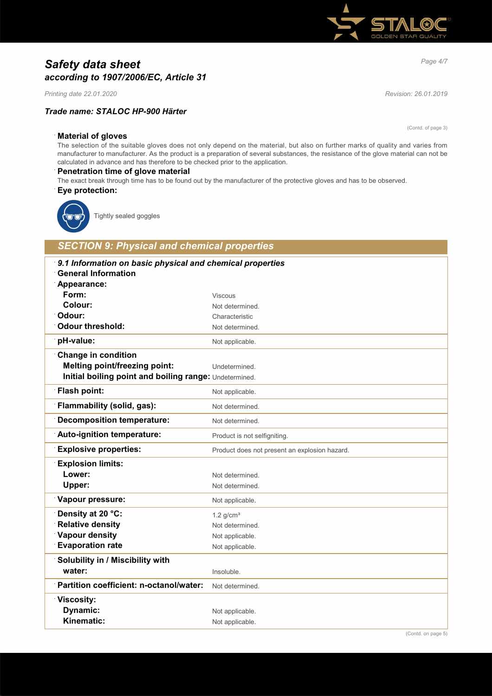# *Page 4/7 Safety data sheet according to 1907/2006/EC, Article 31*

*Printing date 22.01.2020 Revision: 26.01.2019*

### *Trade name: STALOC HP-900 Härter*

(Contd. of page 3)

### · **Material of gloves**

The selection of the suitable gloves does not only depend on the material, but also on further marks of quality and varies from manufacturer to manufacturer. As the product is a preparation of several substances, the resistance of the glove material can not be calculated in advance and has therefore to be checked prior to the application.

#### · **Penetration time of glove material**

The exact break through time has to be found out by the manufacturer of the protective gloves and has to be observed. · **Eye protection:**



Tightly sealed goggles

# *SECTION 9: Physical and chemical properties*

| 9.1 Information on basic physical and chemical properties |                                               |
|-----------------------------------------------------------|-----------------------------------------------|
| <b>General Information</b>                                |                                               |
| Appearance:<br>Form:                                      |                                               |
| Colour:                                                   | <b>Viscous</b><br>Not determined.             |
| Odour:                                                    | Characteristic                                |
| <b>Odour threshold:</b>                                   | Not determined.                               |
| pH-value:                                                 | Not applicable.                               |
| <b>Change in condition</b>                                |                                               |
| <b>Melting point/freezing point:</b>                      |                                               |
| Initial boiling point and boiling range: Undetermined.    | Undetermined.                                 |
|                                                           |                                               |
| Flash point:                                              | Not applicable.                               |
| Flammability (solid, gas):                                | Not determined.                               |
| <b>Decomposition temperature:</b>                         | Not determined.                               |
| Auto-ignition temperature:                                | Product is not selfigniting.                  |
| <b>Explosive properties:</b>                              | Product does not present an explosion hazard. |
| <b>Explosion limits:</b>                                  |                                               |
| Lower:                                                    | Not determined.                               |
| Upper:                                                    | Not determined.                               |
| Vapour pressure:                                          | Not applicable.                               |
| Density at 20 °C:                                         | 1.2 $g/cm3$                                   |
| <b>Relative density</b>                                   | Not determined.                               |
| Vapour density                                            | Not applicable.                               |
| <b>Evaporation rate</b>                                   | Not applicable.                               |
| Solubility in / Miscibility with                          |                                               |
| water:                                                    | Insoluble.                                    |
| Partition coefficient: n-octanol/water:                   | Not determined.                               |
| <b>Viscosity:</b>                                         |                                               |
| Dynamic:                                                  | Not applicable.                               |
| Kinematic:                                                | Not applicable.                               |
|                                                           |                                               |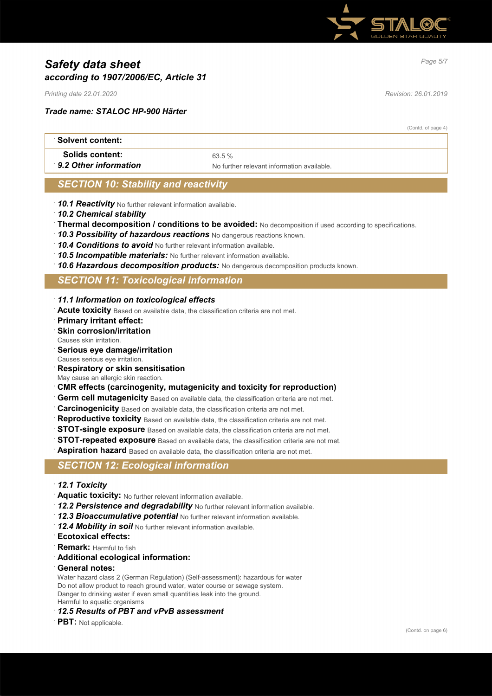

# *Page 5/7 Safety data sheet according to 1907/2006/EC, Article 31*

*Printing date 22.01.2020 Revision: 26.01.2019*

*Trade name: STALOC HP-900 Härter*

(Contd. of page 4)

| ∴Solvent content:      |                                            |
|------------------------|--------------------------------------------|
| <b>Solids content:</b> | 63.5%                                      |
| 9.2 Other information  | No further relevant information available. |

# *SECTION 10: Stability and reactivity*

- · *10.1 Reactivity* No further relevant information available.
- · *10.2 Chemical stability*
- · **Thermal decomposition / conditions to be avoided:** No decomposition if used according to specifications.
- · *10.3 Possibility of hazardous reactions* No dangerous reactions known.
- · *10.4 Conditions to avoid* No further relevant information available.
- · *10.5 Incompatible materials:* No further relevant information available.
- · *10.6 Hazardous decomposition products:* No dangerous decomposition products known.

### *SECTION 11: Toxicological information*

- · *11.1 Information on toxicological effects*
- · **Acute toxicity** Based on available data, the classification criteria are not met.
- · **Primary irritant effect:**
- **Skin corrosion/irritation**
- Causes skin irritation.
- · **Serious eye damage/irritation**
- Causes serious eye irritation.
- · **Respiratory or skin sensitisation**
- May cause an allergic skin reaction.
- · **CMR effects (carcinogenity, mutagenicity and toxicity for reproduction)**
- **Germ cell mutagenicity** Based on available data, the classification criteria are not met.
- **Carcinogenicity** Based on available data, the classification criteria are not met.
- **Reproductive toxicity** Based on available data, the classification criteria are not met.
- **STOT-single exposure** Based on available data, the classification criteria are not met.
- **STOT-repeated exposure** Based on available data, the classification criteria are not met.
- **Aspiration hazard** Based on available data, the classification criteria are not met.

### *SECTION 12: Ecological information*

- · *12.1 Toxicity*
- · **Aquatic toxicity:** No further relevant information available.
- · *12.2 Persistence and degradability* No further relevant information available.
- · *12.3 Bioaccumulative potential* No further relevant information available.
- · *12.4 Mobility in soil* No further relevant information available.
- · **Ecotoxical effects:**
- **Remark: Harmful to fish**
- · **Additional ecological information:**
- · **General notes:**

Water hazard class 2 (German Regulation) (Self-assessment): hazardous for water Do not allow product to reach ground water, water course or sewage system. Danger to drinking water if even small quantities leak into the ground. Harmful to aquatic organisms

- · *12.5 Results of PBT and vPvB assessment*
- **PBT:** Not applicable.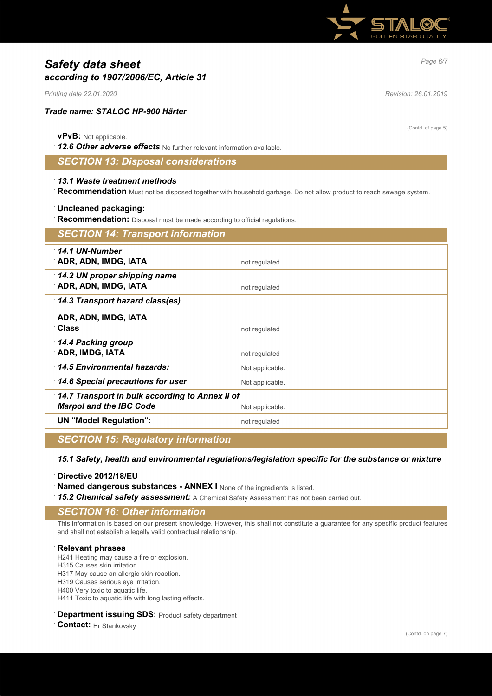

# *Page 6/7 Safety data sheet according to 1907/2006/EC, Article 31*

*Printing date 22.01.2020 Revision: 26.01.2019*

### *Trade name: STALOC HP-900 Härter*

#### · **vPvB:** Not applicable.

· *12.6 Other adverse effects* No further relevant information available.

### *SECTION 13: Disposal considerations*

#### · *13.1 Waste treatment methods*

· **Recommendation** Must not be disposed together with household garbage. Do not allow product to reach sewage system.

#### · **Uncleaned packaging:**

· **Recommendation:** Disposal must be made according to official regulations.

| <b>SECTION 14: Transport information</b>                                          |                 |
|-----------------------------------------------------------------------------------|-----------------|
| $\cdot$ 14.1 UN-Number<br>ADR, ADN, IMDG, IATA                                    | not regulated   |
| 14.2 UN proper shipping name<br><b>ADR, ADN, IMDG, IATA</b>                       | not regulated   |
| 14.3 Transport hazard class(es)                                                   |                 |
| ADR, ADN, IMDG, IATA<br>∵Class                                                    | not regulated   |
| 14.4 Packing group<br>∵ADR, IMDG, IATA                                            | not regulated   |
| 14.5 Environmental hazards:                                                       | Not applicable. |
| $\,$ 14.6 Special precautions for user                                            | Not applicable. |
| 14.7 Transport in bulk according to Annex II of<br><b>Marpol and the IBC Code</b> | Not applicable. |
| <b>UN "Model Regulation":</b>                                                     | not regulated   |

## *SECTION 15: Regulatory information*

#### · *15.1 Safety, health and environmental regulations/legislation specific for the substance or mixture*

· **Directive 2012/18/EU**

**Named dangerous substances - ANNEX I** None of the ingredients is listed.

15.2 Chemical safety assessment: A Chemical Safety Assessment has not been carried out.

# *SECTION 16: Other information*

This information is based on our present knowledge. However, this shall not constitute a guarantee for any specific product features and shall not establish a legally valid contractual relationship.

#### · **Relevant phrases**

H241 Heating may cause a fire or explosion.

H315 Causes skin irritation.

H317 May cause an allergic skin reaction.

H319 Causes serious eye irritation.

H400 Very toxic to aquatic life.

H411 Toxic to aquatic life with long lasting effects.

#### **Department issuing SDS: Product safety department**

· **Contact:** Hr Stankovsky

(Contd. of page 5)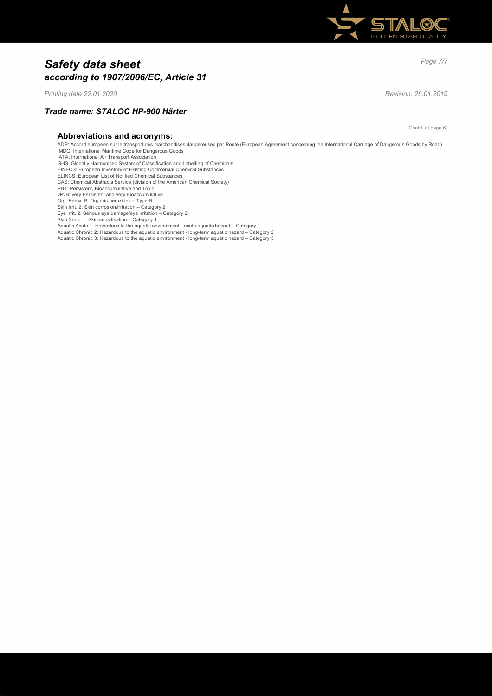

# *Page 7/7 Safety data sheet according to 1907/2006/EC, Article 31*

*Printing date 22.01.2020 Revision: 26.01.2019*

### *Trade name: STALOC HP-900 Härter*

· **Abbreviations and acronyms:**

ADR: Accord européen sur le transport des marchandises dangereuses par Route (European Agreement concerning the International Carriage of Dangerous Goods by Road) IMDG: International Maritime Code for Dangerous Goods IATA: International Air Transport Association GHS: Globally Harmonised System of Classification and Labelling of Chemicals EINECS: European Inventory of Existing Commercial Chemical Substances ELINCS: European List of Notified Chemical Substances CAS: Chemical Abstracts Service (division of the American Chemical Society) PBT: Persistent, Bioaccumulative and Toxic vPvB: very Persistent and very Bioaccumulative Org. Perox. B: Organic peroxides – Type B Skin Irrit. 2: Skin corrosion/irritation – Category 2 Eye Irrit. 2: Serious eye damage/eye irritation – Category 2 Skin Sens. 1: Skin sensitisation – Category 1 Aquatic Acute 1: Hazardous to the aquatic environment - acute aquatic hazard – Category 1 Aquatic Chronic 2: Hazardous to the aquatic environment - long-term aquatic hazard – Category 2 Aquatic Chronic 3: Hazardous to the aquatic environment - long-term aquatic hazard – Category 3

(Contd. of page 6)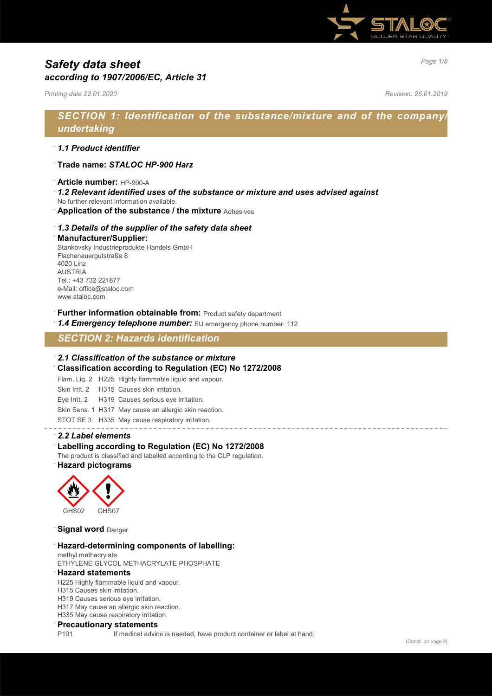

# *Page 1/8 Safety data sheet according to 1907/2006/EC, Article 31*

*Printing date 22.01.2020 Revision: 26.01.2019*

# *SECTION 1: Identification of the substance/mixture and of the company/ undertaking*

### · *1.1 Product identifier*

- · **Trade name:** *STALOC HP-900 Harz*
- · **Article number:** HP-900-A
- · *1.2 Relevant identified uses of the substance or mixture and uses advised against*
- No further relevant information available.
- · **Application of the substance / the mixture** Adhesives

#### · *1.3 Details of the supplier of the safety data sheet*

#### · **Manufacturer/Supplier:**

Stankovsky Industrieprodukte Handels GmbH Flachenauergutstraße 8 4020 Linz AUSTRIA Tel.: +43 732 221877 e-Mail: office@staloc.com www.staloc.com

- **Further information obtainable from:** Product safety department
- 1.4 **Emergency telephone number:** EU emergency phone number: 112

# *SECTION 2: Hazards identification*

#### · *2.1 Classification of the substance or mixture*

- · **Classification according to Regulation (EC) No 1272/2008**
- Flam. Liq. 2 H225 Highly flammable liquid and vapour.
- Skin Irrit. 2 H315 Causes skin irritation.
- Eye Irrit. 2 H319 Causes serious eye irritation.
- Skin Sens. 1 H317 May cause an allergic skin reaction.
- STOT SE 3 H335 May cause respiratory irritation.

#### · *2.2 Label elements*

#### Labelling according to Regulation (EC) No 1272/2008

The product is classified and labelled according to the CLP regulation. · **Hazard pictograms**



**Signal word** Danger

#### · **Hazard-determining components of labelling:**

methyl methacrylate ETHYLENE GLYCOL METHACRYLATE PHOSPHATE

#### · **Hazard statements**

H225 Highly flammable liquid and vapour.

- H315 Causes skin irritation.
- H319 Causes serious eye irritation.

H317 May cause an allergic skin reaction.

H335 May cause respiratory irritation.

#### · **Precautionary statements**

P101 If medical advice is needed, have product container or label at hand.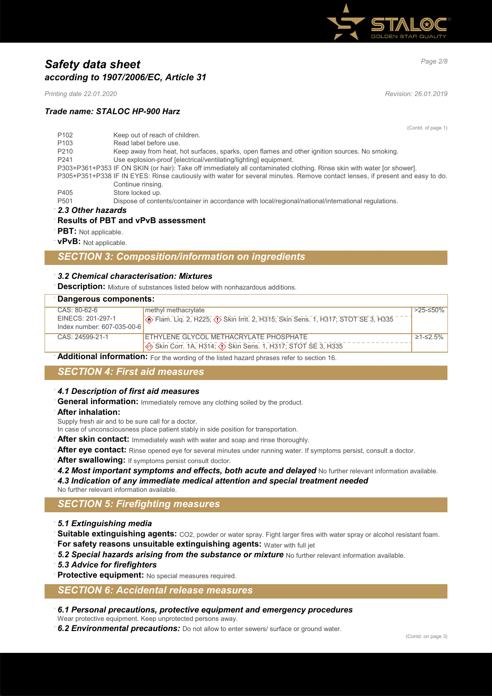

# *Page 2/8 Safety data sheet according to 1907/2006/EC, Article 31*

*Printing date 22.01.2020 Revision: 26.01.2019*

### *Trade name: STALOC HP-900 Harz*

(Contd. of page 1)

| P <sub>102</sub> | Keep out of reach of children.                                                                                                |
|------------------|-------------------------------------------------------------------------------------------------------------------------------|
| P <sub>103</sub> | Read label before use.                                                                                                        |
| P <sub>210</sub> | Keep away from heat, hot surfaces, sparks, open flames and other ignition sources. No smoking.                                |
| P <sub>241</sub> | Use explosion-proof [electrical/ventilating/lighting] equipment.                                                              |
|                  | P303+P361+P353 IF ON SKIN (or hair): Take off immediately all contaminated clothing. Rinse skin with water [or shower].       |
|                  | P305+P351+P338 IF IN EYES: Rinse cautiously with water for several minutes. Remove contact lenses, if present and easy to do. |
|                  | Continue rinsing.                                                                                                             |
| P405             | Store locked up.                                                                                                              |
| P <sub>501</sub> | Dispose of contents/container in accordance with local/regional/national/international regulations.                           |
|                  |                                                                                                                               |

· *2.3 Other hazards*

#### · **Results of PBT and vPvB assessment**

- · **PBT:** Not applicable.
- · **vPvB:** Not applicable.

### *SECTION 3: Composition/information on ingredients*

#### · *3.2 Chemical characterisation: Mixtures*

**Description:** Mixture of substances listed below with nonhazardous additions.

# · **Dangerous components:**

| <b>Dangerous components.</b> |                                                 |                                                                                        |           |
|------------------------------|-------------------------------------------------|----------------------------------------------------------------------------------------|-----------|
|                              | CAS: 80-62-6                                    | methyl methacrylate                                                                    | $>25-50%$ |
|                              | EINECS: 201-297-1<br>Index number: 607-035-00-6 | <b>Example 2, H225; 4&gt; Skin Irrit. 2, H315; Skin Sens. 1, H317; STOT SE 3, H335</b> |           |
|                              |                                                 |                                                                                        |           |
|                              | $CAS: 24599-21-1$                               | ETHYLENE GLYCOL METHACRYLATE PHOSPHATE                                                 | ≥1-≤2.5%  |
|                              |                                                 | Skin Corr. 1A, H314; (1) Skin Sens. 1, H317; STOT SE 3, H335                           |           |

Additional information: For the wording of the listed hazard phrases refer to section 16.

# *SECTION 4: First aid measures*

#### · *4.1 Description of first aid measures*

- **General information:** Immediately remove any clothing soiled by the product.
- · **After inhalation:**

Supply fresh air and to be sure call for a doctor.

- In case of unconsciousness place patient stably in side position for transportation.
- **After skin contact:** Immediately wash with water and soap and rinse thoroughly.
- After eye contact: Rinse opened eye for several minutes under running water. If symptoms persist, consult a doctor.
- After swallowing: If symptoms persist consult doctor.
- 4.2 Most important symptoms and effects, both acute and delayed No further relevant information available. · *4.3 Indication of any immediate medical attention and special treatment needed*
- No further relevant information available.

# *SECTION 5: Firefighting measures*

- · *5.1 Extinguishing media*
- **Suitable extinguishing agents:** CO2, powder or water spray. Fight larger fires with water spray or alcohol resistant foam.
- · **For safety reasons unsuitable extinguishing agents:** Water with full jet
- · *5.2 Special hazards arising from the substance or mixture* No further relevant information available.
- · *5.3 Advice for firefighters*
- Protective equipment: No special measures required.

### *SECTION 6: Accidental release measures*

- · *6.1 Personal precautions, protective equipment and emergency procedures*
- Wear protective equipment. Keep unprotected persons away.
- · *6.2 Environmental precautions:* Do not allow to enter sewers/ surface or ground water.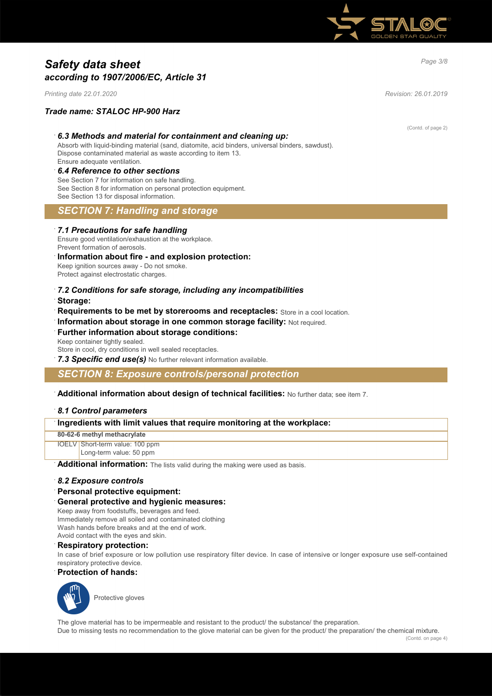

# *Page 3/8 Safety data sheet according to 1907/2006/EC, Article 31*

*Printing date 22.01.2020 Revision: 26.01.2019*

### *Trade name: STALOC HP-900 Harz*

#### · *6.3 Methods and material for containment and cleaning up:*

Absorb with liquid-binding material (sand, diatomite, acid binders, universal binders, sawdust). Dispose contaminated material as waste according to item 13. Ensure adequate ventilation.

#### · *6.4 Reference to other sections*

See Section 7 for information on safe handling. See Section 8 for information on personal protection equipment. See Section 13 for disposal information.

# *SECTION 7: Handling and storage*

#### · *7.1 Precautions for safe handling*

Ensure good ventilation/exhaustion at the workplace. Prevent formation of aerosols.

#### · **Information about fire - and explosion protection:**

Keep ignition sources away - Do not smoke. Protect against electrostatic charges.

# · *7.2 Conditions for safe storage, including any incompatibilities*

- · **Storage:**
- · **Requirements to be met by storerooms and receptacles:** Store in a cool location.
- **Information about storage in one common storage facility: Not required.**

#### **Further information about storage conditions:** Keep container tightly sealed.

Store in cool, dry conditions in well sealed receptacles.

**7.3 Specific end use(s)** No further relevant information available.

### *SECTION 8: Exposure controls/personal protection*

#### · **Additional information about design of technical facilities:** No further data; see item 7.

#### · *8.1 Control parameters*

### · **Ingredients with limit values that require monitoring at the workplace:**

**80-62-6 methyl methacrylate**

IOELV Short-term value: 100 ppm Long-term value: 50 ppm

Additional information: The lists valid during the making were used as basis.

#### · *8.2 Exposure controls*

· **Personal protective equipment:**

#### · **General protective and hygienic measures:**

Keep away from foodstuffs, beverages and feed. Immediately remove all soiled and contaminated clothing Wash hands before breaks and at the end of work. Avoid contact with the eyes and skin.

#### · **Respiratory protection:**

In case of brief exposure or low pollution use respiratory filter device. In case of intensive or longer exposure use self-contained respiratory protective device.

#### · **Protection of hands:**



Protective gloves

The glove material has to be impermeable and resistant to the product/ the substance/ the preparation.

Due to missing tests no recommendation to the glove material can be given for the product/ the preparation/ the chemical mixture.

(Contd. of page 2)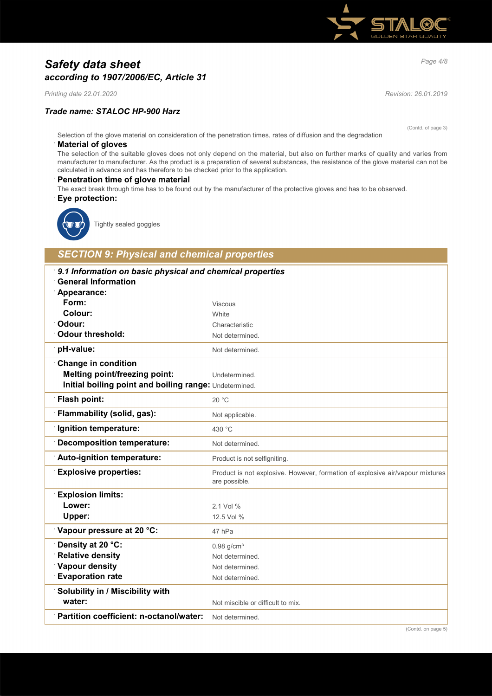

# *Page 4/8 Safety data sheet according to 1907/2006/EC, Article 31*

*Printing date 22.01.2020 Revision: 26.01.2019*

### *Trade name: STALOC HP-900 Harz*

(Contd. of page 3)

Selection of the glove material on consideration of the penetration times, rates of diffusion and the degradation

#### · **Material of gloves**

The selection of the suitable gloves does not only depend on the material, but also on further marks of quality and varies from manufacturer to manufacturer. As the product is a preparation of several substances, the resistance of the glove material can not be calculated in advance and has therefore to be checked prior to the application.

#### **Penetration time of glove material**

The exact break through time has to be found out by the manufacturer of the protective gloves and has to be observed.

· **Eye protection:**



Tightly sealed goggles

# *SECTION 9: Physical and chemical properties*

| 9.1 Information on basic physical and chemical properties |                                                                                                |
|-----------------------------------------------------------|------------------------------------------------------------------------------------------------|
| <b>General Information</b>                                |                                                                                                |
| Appearance:                                               |                                                                                                |
| Form:                                                     | <b>Viscous</b>                                                                                 |
| Colour:                                                   | White                                                                                          |
| Odour:                                                    | Characteristic                                                                                 |
| <b>Odour threshold:</b>                                   | Not determined.                                                                                |
| pH-value:                                                 | Not determined.                                                                                |
| <b>Change in condition</b>                                |                                                                                                |
| <b>Melting point/freezing point:</b>                      | Undetermined.                                                                                  |
| Initial boiling point and boiling range: Undetermined.    |                                                                                                |
| <b>Flash point:</b>                                       | 20 °C                                                                                          |
| Flammability (solid, gas):                                | Not applicable.                                                                                |
| Ignition temperature:                                     | 430 °C                                                                                         |
| <b>Decomposition temperature:</b>                         | Not determined.                                                                                |
| Auto-ignition temperature:                                | Product is not selfigniting.                                                                   |
| <b>Explosive properties:</b>                              | Product is not explosive. However, formation of explosive air/vapour mixtures<br>are possible. |
| <b>Explosion limits:</b>                                  |                                                                                                |
| Lower:                                                    | 2.1 Vol %                                                                                      |
| Upper:                                                    | 12.5 Vol %                                                                                     |
| Vapour pressure at 20 °C:                                 | 47 hPa                                                                                         |
| Density at 20 °C:                                         | $0.98$ g/cm <sup>3</sup>                                                                       |
| <b>Relative density</b>                                   | Not determined.                                                                                |
| <b>Vapour density</b>                                     | Not determined.                                                                                |
| <b>Evaporation rate</b>                                   | Not determined.                                                                                |
| Solubility in / Miscibility with                          |                                                                                                |
| water:                                                    | Not miscible or difficult to mix.                                                              |
| Partition coefficient: n-octanol/water:                   | Not determined.                                                                                |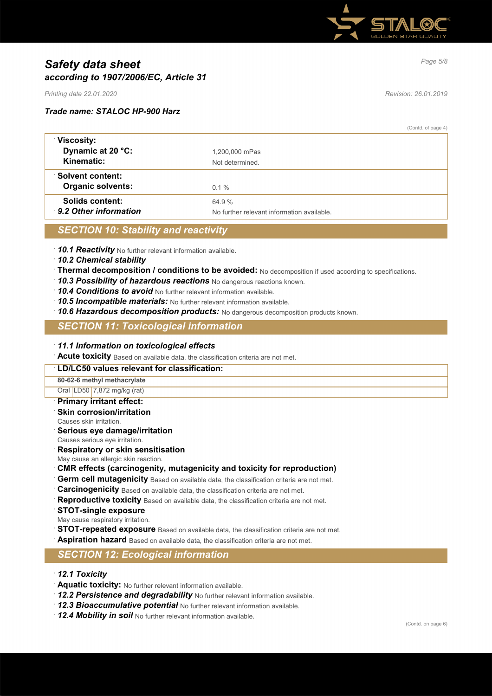

# *Page 5/8 Safety data sheet according to 1907/2006/EC, Article 31*

*Printing date 22.01.2020 Revision: 26.01.2019*

#### *Trade name: STALOC HP-900 Harz*

(Contd. of page 4)

| Viscosity:<br>Dynamic at 20 °C:<br>Kinematic:       | 1,200,000 mPas<br>Not determined                     |
|-----------------------------------------------------|------------------------------------------------------|
| <b>Solvent content:</b><br><b>Organic solvents:</b> | $0.1 \%$                                             |
| Solids content:<br>9.2 Other information            | 64 9 %<br>No further relevant information available. |

# *SECTION 10: Stability and reactivity*

· *10.1 Reactivity* No further relevant information available.

- · *10.2 Chemical stability*
- · **Thermal decomposition / conditions to be avoided:** No decomposition if used according to specifications.
- · *10.3 Possibility of hazardous reactions* No dangerous reactions known.
- · *10.4 Conditions to avoid* No further relevant information available.
- · *10.5 Incompatible materials:* No further relevant information available.
- · *10.6 Hazardous decomposition products:* No dangerous decomposition products known.

## *SECTION 11: Toxicological information*

#### · *11.1 Information on toxicological effects*

· **Acute toxicity** Based on available data, the classification criteria are not met.

#### · **LD/LC50 values relevant for classification:**

**80-62-6 methyl methacrylate**

Oral LD50 7,872 mg/kg (rat)

# · **Primary irritant effect:**

- **Skin corrosion/irritation**
- Causes skin irritation.
- · **Serious eye damage/irritation**

Causes serious eye irritation.

· **Respiratory or skin sensitisation**

May cause an allergic skin reaction.

- · **CMR effects (carcinogenity, mutagenicity and toxicity for reproduction)**
- **Germ cell mutagenicity** Based on available data, the classification criteria are not met.

· **Carcinogenicity** Based on available data, the classification criteria are not met.

- Reproductive toxicity Based on available data, the classification criteria are not met.
- · **STOT-single exposure**
- May cause respiratory irritation.
- **STOT-repeated exposure** Based on available data, the classification criteria are not met.
- Aspiration hazard Based on available data, the classification criteria are not met.

# *SECTION 12: Ecological information*

- · *12.1 Toxicity*
- · **Aquatic toxicity:** No further relevant information available.
- 12.2 Persistence and degradability No further relevant information available.
- · *12.3 Bioaccumulative potential* No further relevant information available.
- · *12.4 Mobility in soil* No further relevant information available.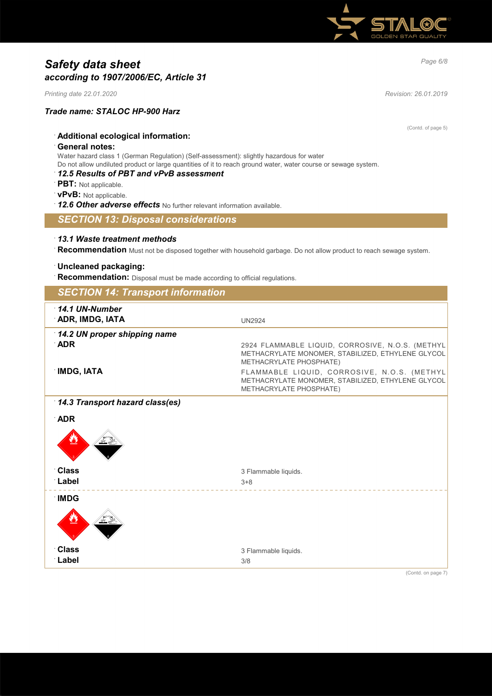

# *Page 6/8 Safety data sheet according to 1907/2006/EC, Article 31*

*Printing date 22.01.2020 Revision: 26.01.2019*

### *Trade name: STALOC HP-900 Harz*

(Contd. of page 5)

# · **Additional ecological information:**

#### · **General notes:**

Water hazard class 1 (German Regulation) (Self-assessment): slightly hazardous for water Do not allow undiluted product or large quantities of it to reach ground water, water course or sewage system.

# · *12.5 Results of PBT and vPvB assessment*

- · **PBT:** Not applicable.
- · **vPvB:** Not applicable.
- · *12.6 Other adverse effects* No further relevant information available.

### *SECTION 13: Disposal considerations*

### · *13.1 Waste treatment methods*

· **Recommendation** Must not be disposed together with household garbage. Do not allow product to reach sewage system.

#### · **Uncleaned packaging:**

**Recommendation:** Disposal must be made according to official regulations.

| <b>SECTION 14: Transport information</b>   |                                                                                                                                                        |
|--------------------------------------------|--------------------------------------------------------------------------------------------------------------------------------------------------------|
| $\cdot$ 14.1 UN-Number<br>ADR, IMDG, IATA  | <b>UN2924</b>                                                                                                                                          |
| 14.2 UN proper shipping name<br><b>ADR</b> | 2924 FLAMMABLE LIQUID, CORROSIVE, N.O.S. (METHYL<br>METHACRYLATE MONOMER, STABILIZED, ETHYLENE GLYCOL                                                  |
| <b>IMDG, IATA</b>                          | METHACRYLATE PHOSPHATE)<br>FLAMMABLE LIQUID, CORROSIVE, N.O.S. (METHYL<br>METHACRYLATE MONOMER, STABILIZED, ETHYLENE GLYCOL<br>METHACRYLATE PHOSPHATE) |
| 14.3 Transport hazard class(es)            |                                                                                                                                                        |
| <b>ADR</b>                                 |                                                                                                                                                        |
|                                            |                                                                                                                                                        |
| <b>Class</b>                               | 3 Flammable liquids.                                                                                                                                   |
| ∴Label                                     | $3 + 8$                                                                                                                                                |
| <b>IMDG</b>                                |                                                                                                                                                        |
|                                            |                                                                                                                                                        |
| <b>Class</b>                               | 3 Flammable liquids.                                                                                                                                   |
| ∴Label                                     | 3/8                                                                                                                                                    |
|                                            | (Contd. on page 7)                                                                                                                                     |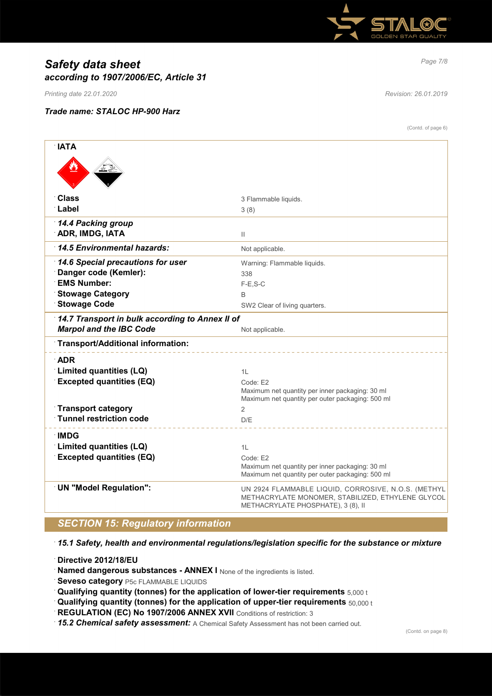

# *Page 7/8 Safety data sheet according to 1907/2006/EC, Article 31*

*Printing date 22.01.2020 Revision: 26.01.2019*

### *Trade name: STALOC HP-900 Harz*

(Contd. of page 6)

| <b>NATA</b>                                     |                                                                                                                                                |
|-------------------------------------------------|------------------------------------------------------------------------------------------------------------------------------------------------|
|                                                 |                                                                                                                                                |
| <b>Class</b>                                    | 3 Flammable liquids.                                                                                                                           |
| <b>∶Label</b>                                   | 3(8)                                                                                                                                           |
| 14.4 Packing group<br><b>ADR, IMDG, IATA</b>    | Ш                                                                                                                                              |
| 14.5 Environmental hazards:                     | Not applicable.                                                                                                                                |
| 14.6 Special precautions for user               | Warning: Flammable liquids.                                                                                                                    |
| Danger code (Kemler):                           | 338                                                                                                                                            |
| <b>EMS Number:</b>                              | $F-E$ , S-C                                                                                                                                    |
| <b>Stowage Category</b>                         | B                                                                                                                                              |
| <b>Stowage Code</b>                             | SW2 Clear of living quarters.                                                                                                                  |
| 14.7 Transport in bulk according to Annex II of |                                                                                                                                                |
| <b>Marpol and the IBC Code</b>                  | Not applicable.                                                                                                                                |
| Transport/Additional information:               |                                                                                                                                                |
| $\Delta$ DR                                     |                                                                                                                                                |
| Limited quantities (LQ)                         | 1L                                                                                                                                             |
| <b>Excepted quantities (EQ)</b>                 | Code: E2                                                                                                                                       |
|                                                 | Maximum net quantity per inner packaging: 30 ml<br>Maximum net quantity per outer packaging: 500 ml                                            |
| <b>Transport category</b>                       | $\overline{2}$                                                                                                                                 |
| $\lceil$ Tunnel restriction code                | D/E                                                                                                                                            |
| ∴IMDG                                           |                                                                                                                                                |
| Limited quantities (LQ)                         | 11                                                                                                                                             |
| <b>Excepted quantities (EQ)</b>                 | Code: E2                                                                                                                                       |
|                                                 | Maximum net quantity per inner packaging: 30 ml                                                                                                |
|                                                 | Maximum net quantity per outer packaging: 500 ml                                                                                               |
|                                                 |                                                                                                                                                |
| <b>UN "Model Regulation":</b>                   | UN 2924 FLAMMABLE LIQUID, CORROSIVE, N.O.S. (METHYL<br>METHACRYLATE MONOMER, STABILIZED, ETHYLENE GLYCOL<br>METHACRYLATE PHOSPHATE), 3 (8), II |

# *SECTION 15: Regulatory information*

· *15.1 Safety, health and environmental regulations/legislation specific for the substance or mixture*

· **Directive 2012/18/EU**

· **Named dangerous substances - ANNEX I** None of the ingredients is listed.

**Seveso category** P5c FLAMMABLE LIQUIDS

· **Qualifying quantity (tonnes) for the application of lower-tier requirements** 5,000 t

- · **Qualifying quantity (tonnes) for the application of upper-tier requirements** 50,000 t
- · **REGULATION (EC) No 1907/2006 ANNEX XVII** Conditions of restriction: 3

· *15.2 Chemical safety assessment:* A Chemical Safety Assessment has not been carried out.